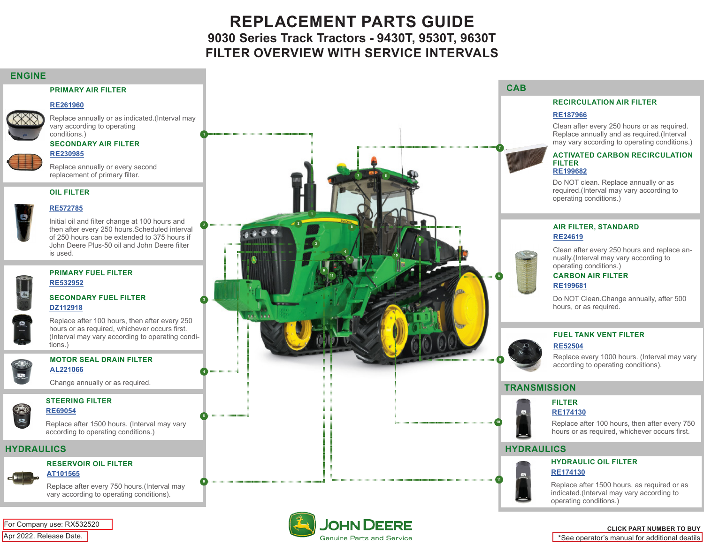# **REPLACEMENT PARTS GUIDE 9030 Series Track Tractors - 9430T, 9530T, 9630T FILTER OVERVIEW WITH SERVICE INTERVALS**

### **ENGINE**

#### **PRIMARY AIR FILTER**

#### **[RE261960](https://jdparts.deere.com/servlet/com.deere.u90.jdparts.view.servlets.partinfocontroller.PartDetails?screenName=JDSearch&&partSearchNumber=RE261960)**

Replace annually or as indicated.(Interval may vary according to operating conditions.)

#### **SECONDARY AIR FILTER**



Replace annually or every second replacement of primary filter.

### **OIL FILTER**



Initial oil and filter change at 100 hours and then after every 250 hours.Scheduled interval of 250 hours can be extended to 375 hours if John Deere Plus-50 oil and John Deere filter is used.



### **PRIMARY FUEL FILTER [RE532952](https://jdparts.deere.com/servlet/com.deere.u90.jdparts.view.servlets.partinfocontroller.PartDetails?screenName=JDSearch&&partSearchNumber=RE532952)**

#### **SECONDARY FUEL FILTER [DZ112918](https://jdparts.deere.com/servlet/com.deere.u90.jdparts.view.servlets.partinfocontroller.PartDetails?screenName=JDSearch&&partSearchNumber=DZ112918)**

Replace after 100 hours, then after every 250 hours or as required, whichever occurs first. (Interval may vary according to operating conditions.)

#### **MOTOR SEAL DRAIN FILTER [AL221066](https://jdparts.deere.com/servlet/com.deere.u90.jdparts.view.servlets.partinfocontroller.PartDetails?screenName=JDSearch&&partSearchNumber=AL221066)**

Change annually or as required.

### **STEERING FILTER**

### **[RE69054](https://jdparts.deere.com/servlet/com.deere.u90.jdparts.view.servlets.partinfocontroller.PartDetails?screenName=JDSearch&&partSearchNumber=RE69054)**

Replace after 1500 hours. (Interval may vary according to operating conditions.)

 $\bigcirc$ 

#### **RESERVOIR OIL FILTER [AT101565](https://jdparts.deere.com/servlet/com.deere.u90.jdparts.view.servlets.partinfocontroller.PartDetails?screenName=JDSearch&&partSearchNumber=AT101565)**



Replace after every 750 hours.(Interval may vary according to operating conditions).

Apr 2022. Release Date. For Company use: RX532520



Genuine Parts and Service

#### **RECIRCULATION AIR FILTER**

### **[RE187966](https://jdparts.deere.com/servlet/com.deere.u90.jdparts.view.servlets.partinfocontroller.PartDetails?screenName=JDSearch&&partSearchNumber=RE187966)**

Clean after every 250 hours or as required. Replace annually and as required.(Interval may vary according to operating conditions.)

#### **ACTIVATED CARBON RECIRCULATION FILTER [RE199682](https://jdparts.deere.com/servlet/com.deere.u90.jdparts.view.servlets.partinfocontroller.PartDetails?screenName=JDSearch&&partSearchNumber=RE199682)**

Do NOT clean. Replace annually or as required.(Interval may vary according to operating conditions.)

### **AIR FILTER, STANDARD [RE24619](https://jdparts.deere.com/servlet/com.deere.u90.jdparts.view.servlets.partinfocontroller.PartDetails?screenName=JDSearch&&partSearchNumber=RE24619)**

Clean after every 250 hours and replace annually.(Interval may vary according to operating conditions.)

## **CARBON AIR FILTER**

### **[RE199681](https://jdparts.deere.com/servlet/com.deere.u90.jdparts.view.servlets.partinfocontroller.PartDetails?screenName=JDSearch&&partSearchNumber=RE199681)**

Do NOT Clean.Change annually, after 500 hours, or as required.

### **FUEL TANK VENT FILTER**

### **[RE52504](https://jdparts.deere.com/servlet/com.deere.u90.jdparts.view.servlets.partinfocontroller.PartDetails?screenName=JDSearch&&partSearchNumber=RE52504)**

Replace every 1000 hours. (Interval may vary according to operating conditions).

### **TRANSMISSION**

### **FILTER**



Replace after 100 hours, then after every 750 hours or as required, whichever occurs first.

### **HYDRAULIC OIL FILTER [RE174130](https://jdparts.deere.com/servlet/com.deere.u90.jdparts.view.servlets.partinfocontroller.PartDetails?screenName=JDSearch&&partSearchNumber=RE174130)**

Replace after 1500 hours, as required or as indicated.(Interval may vary according to operating conditions.)

### **CLICK PART NUMBER TO BUY**

\*See operator's manual for additional deatils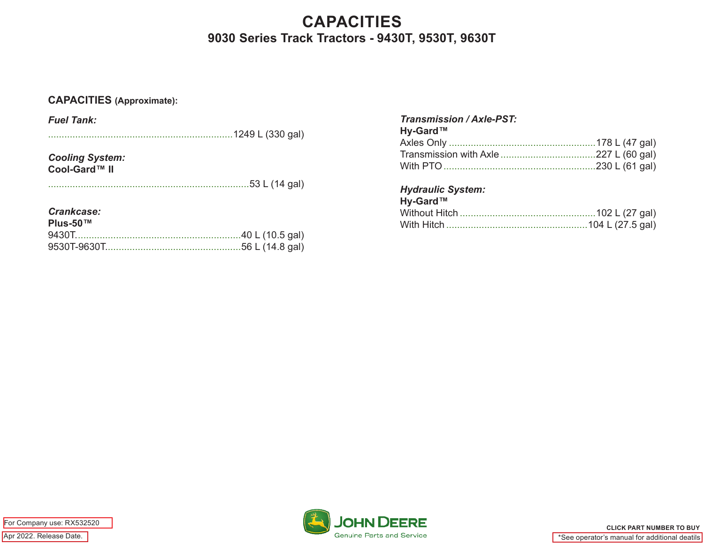# **CAPACITIES 9030 Series Track Tractors - 9430T, 9530T, 9630T**

## **CAPACITIES (Approximate):**

| <b>Fuel Tank:</b>      |                   |  |
|------------------------|-------------------|--|
| .                      | .1249 L (330 gal) |  |
| <b>Cooling System:</b> |                   |  |
| Cool-Gard™ II          |                   |  |
|                        | .53 L (14 gal)    |  |
|                        |                   |  |
| Crankcase:             |                   |  |
| $Plus-50$ ™            | .40 L (10.5 gal)  |  |
|                        | .56 L (14.8 gal)  |  |
|                        |                   |  |

| <b>Transmission / Axle-PST:</b> |  |
|---------------------------------|--|
| Hy-Gard™                        |  |
|                                 |  |
|                                 |  |
|                                 |  |

## *Hydraulic System:*

| Hy-Gard™ |  |
|----------|--|
|          |  |
|          |  |

Apr 2022. Release Date. For Company use: RX532520